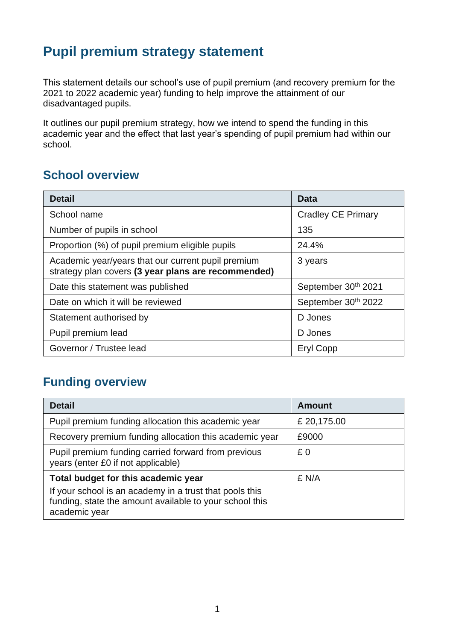### **Pupil premium strategy statement**

This statement details our school's use of pupil premium (and recovery premium for the 2021 to 2022 academic year) funding to help improve the attainment of our disadvantaged pupils.

It outlines our pupil premium strategy, how we intend to spend the funding in this academic year and the effect that last year's spending of pupil premium had within our school.

#### **School overview**

| <b>Detail</b>                                                                                             | Data                      |
|-----------------------------------------------------------------------------------------------------------|---------------------------|
| School name                                                                                               | <b>Cradley CE Primary</b> |
| Number of pupils in school                                                                                | 135                       |
| Proportion (%) of pupil premium eligible pupils                                                           | 24.4%                     |
| Academic year/years that our current pupil premium<br>strategy plan covers (3 year plans are recommended) | 3 years                   |
| Date this statement was published                                                                         | September 30th 2021       |
| Date on which it will be reviewed                                                                         | September 30th 2022       |
| Statement authorised by                                                                                   | D Jones                   |
| Pupil premium lead                                                                                        | D Jones                   |
| Governor / Trustee lead                                                                                   | Eryl Copp                 |

#### **Funding overview**

| <b>Detail</b>                                                                                                                       | <b>Amount</b> |
|-------------------------------------------------------------------------------------------------------------------------------------|---------------|
| Pupil premium funding allocation this academic year                                                                                 | £ 20,175.00   |
| Recovery premium funding allocation this academic year                                                                              | £9000         |
| Pupil premium funding carried forward from previous<br>years (enter £0 if not applicable)                                           | £0            |
| Total budget for this academic year                                                                                                 | £ N/A         |
| If your school is an academy in a trust that pools this<br>funding, state the amount available to your school this<br>academic year |               |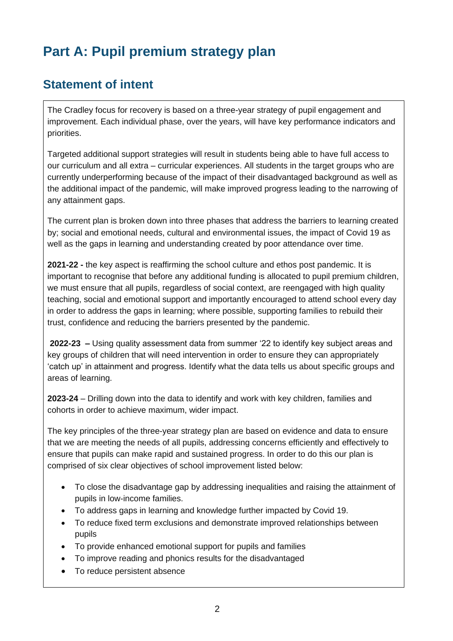# **Part A: Pupil premium strategy plan**

#### **Statement of intent**

The Cradley focus for recovery is based on a three-year strategy of pupil engagement and improvement. Each individual phase, over the years, will have key performance indicators and priorities.

Targeted additional support strategies will result in students being able to have full access to our curriculum and all extra – curricular experiences. All students in the target groups who are currently underperforming because of the impact of their disadvantaged background as well as the additional impact of the pandemic, will make improved progress leading to the narrowing of any attainment gaps.

The current plan is broken down into three phases that address the barriers to learning created by; social and emotional needs, cultural and environmental issues, the impact of Covid 19 as well as the gaps in learning and understanding created by poor attendance over time.

**2021-22 -** the key aspect is reaffirming the school culture and ethos post pandemic. It is important to recognise that before any additional funding is allocated to pupil premium children, we must ensure that all pupils, regardless of social context, are reengaged with high quality teaching, social and emotional support and importantly encouraged to attend school every day in order to address the gaps in learning; where possible, supporting families to rebuild their trust, confidence and reducing the barriers presented by the pandemic.

**2022-23 –** Using quality assessment data from summer '22 to identify key subject areas and key groups of children that will need intervention in order to ensure they can appropriately 'catch up' in attainment and progress. Identify what the data tells us about specific groups and areas of learning.

**2023-24** – Drilling down into the data to identify and work with key children, families and cohorts in order to achieve maximum, wider impact.

The key principles of the three-year strategy plan are based on evidence and data to ensure that we are meeting the needs of all pupils, addressing concerns efficiently and effectively to ensure that pupils can make rapid and sustained progress. In order to do this our plan is comprised of six clear objectives of school improvement listed below:

- To close the disadvantage gap by addressing inequalities and raising the attainment of pupils in low-income families.
- To address gaps in learning and knowledge further impacted by Covid 19.
- To reduce fixed term exclusions and demonstrate improved relationships between pupils
- To provide enhanced emotional support for pupils and families
- To improve reading and phonics results for the disadvantaged
- To reduce persistent absence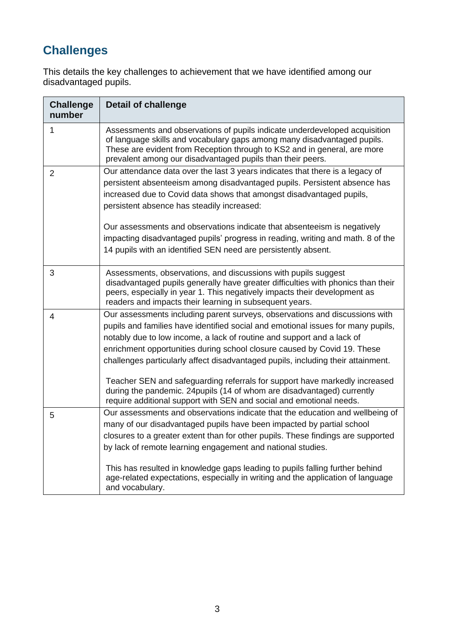### **Challenges**

This details the key challenges to achievement that we have identified among our disadvantaged pupils.

| <b>Challenge</b><br>number | <b>Detail of challenge</b>                                                                                                                                                                                                                                                                                                                                                                                                                                                                                                                                                                                                                |
|----------------------------|-------------------------------------------------------------------------------------------------------------------------------------------------------------------------------------------------------------------------------------------------------------------------------------------------------------------------------------------------------------------------------------------------------------------------------------------------------------------------------------------------------------------------------------------------------------------------------------------------------------------------------------------|
| 1                          | Assessments and observations of pupils indicate underdeveloped acquisition<br>of language skills and vocabulary gaps among many disadvantaged pupils.<br>These are evident from Reception through to KS2 and in general, are more<br>prevalent among our disadvantaged pupils than their peers.                                                                                                                                                                                                                                                                                                                                           |
| $\overline{2}$             | Our attendance data over the last 3 years indicates that there is a legacy of<br>persistent absenteeism among disadvantaged pupils. Persistent absence has<br>increased due to Covid data shows that amongst disadvantaged pupils,<br>persistent absence has steadily increased:                                                                                                                                                                                                                                                                                                                                                          |
|                            | Our assessments and observations indicate that absenteeism is negatively<br>impacting disadvantaged pupils' progress in reading, writing and math. 8 of the<br>14 pupils with an identified SEN need are persistently absent.                                                                                                                                                                                                                                                                                                                                                                                                             |
| 3                          | Assessments, observations, and discussions with pupils suggest<br>disadvantaged pupils generally have greater difficulties with phonics than their<br>peers, especially in year 1. This negatively impacts their development as<br>readers and impacts their learning in subsequent years.                                                                                                                                                                                                                                                                                                                                                |
| 4                          | Our assessments including parent surveys, observations and discussions with<br>pupils and families have identified social and emotional issues for many pupils,<br>notably due to low income, a lack of routine and support and a lack of<br>enrichment opportunities during school closure caused by Covid 19. These<br>challenges particularly affect disadvantaged pupils, including their attainment.<br>Teacher SEN and safeguarding referrals for support have markedly increased<br>during the pandemic. 24 pupils (14 of whom are disadvantaged) currently<br>require additional support with SEN and social and emotional needs. |
| 5                          | Our assessments and observations indicate that the education and wellbeing of<br>many of our disadvantaged pupils have been impacted by partial school<br>closures to a greater extent than for other pupils. These findings are supported<br>by lack of remote learning engagement and national studies.<br>This has resulted in knowledge gaps leading to pupils falling further behind<br>age-related expectations, especially in writing and the application of language<br>and vocabulary.                                                                                                                                           |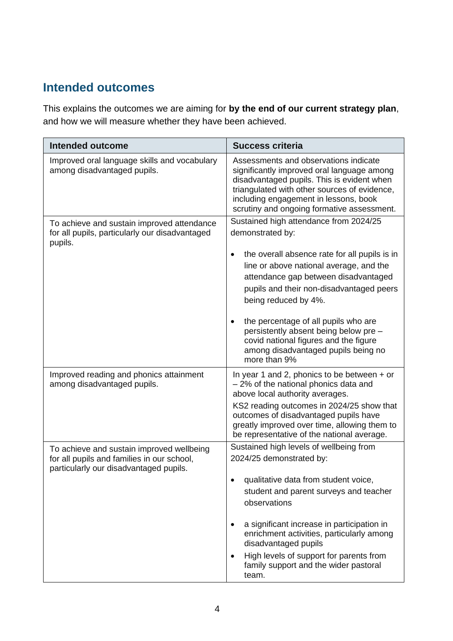#### **Intended outcomes**

This explains the outcomes we are aiming for **by the end of our current strategy plan**, and how we will measure whether they have been achieved.

| <b>Intended outcome</b>                                                                                                           | <b>Success criteria</b>                                                                                                                                                                                                                                                                                       |
|-----------------------------------------------------------------------------------------------------------------------------------|---------------------------------------------------------------------------------------------------------------------------------------------------------------------------------------------------------------------------------------------------------------------------------------------------------------|
| Improved oral language skills and vocabulary<br>among disadvantaged pupils.                                                       | Assessments and observations indicate<br>significantly improved oral language among<br>disadvantaged pupils. This is evident when<br>triangulated with other sources of evidence,<br>including engagement in lessons, book<br>scrutiny and ongoing formative assessment.                                      |
| To achieve and sustain improved attendance<br>for all pupils, particularly our disadvantaged<br>pupils.                           | Sustained high attendance from 2024/25<br>demonstrated by:                                                                                                                                                                                                                                                    |
|                                                                                                                                   | the overall absence rate for all pupils is in<br>٠<br>line or above national average, and the<br>attendance gap between disadvantaged<br>pupils and their non-disadvantaged peers<br>being reduced by 4%.                                                                                                     |
|                                                                                                                                   | the percentage of all pupils who are<br>persistently absent being below pre -<br>covid national figures and the figure<br>among disadvantaged pupils being no<br>more than 9%                                                                                                                                 |
| Improved reading and phonics attainment<br>among disadvantaged pupils.                                                            | In year 1 and 2, phonics to be between $+$ or<br>- 2% of the national phonics data and<br>above local authority averages.<br>KS2 reading outcomes in 2024/25 show that<br>outcomes of disadvantaged pupils have<br>greatly improved over time, allowing them to<br>be representative of the national average. |
| To achieve and sustain improved wellbeing<br>for all pupils and families in our school,<br>particularly our disadvantaged pupils. | Sustained high levels of wellbeing from<br>2024/25 demonstrated by:<br>qualitative data from student voice,                                                                                                                                                                                                   |
|                                                                                                                                   | student and parent surveys and teacher<br>observations                                                                                                                                                                                                                                                        |
|                                                                                                                                   | a significant increase in participation in<br>enrichment activities, particularly among<br>disadvantaged pupils                                                                                                                                                                                               |
|                                                                                                                                   | High levels of support for parents from<br>family support and the wider pastoral<br>team.                                                                                                                                                                                                                     |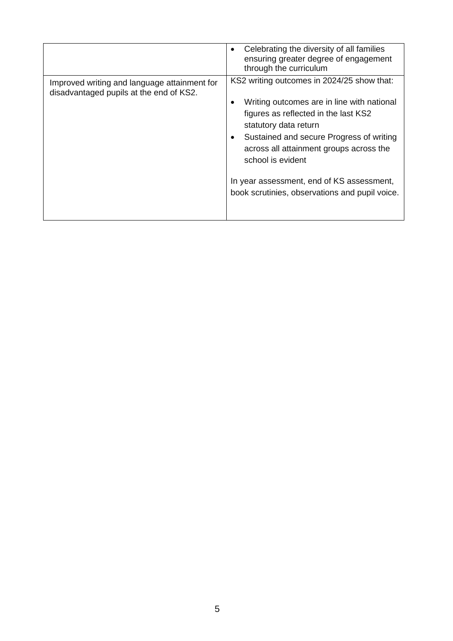|                                                                                         | Celebrating the diversity of all families<br>ensuring greater degree of engagement<br>through the curriculum                                                                                                                                                                                                                                                         |
|-----------------------------------------------------------------------------------------|----------------------------------------------------------------------------------------------------------------------------------------------------------------------------------------------------------------------------------------------------------------------------------------------------------------------------------------------------------------------|
| Improved writing and language attainment for<br>disadvantaged pupils at the end of KS2. | KS2 writing outcomes in 2024/25 show that:<br>Writing outcomes are in line with national<br>figures as reflected in the last KS2<br>statutory data return<br>Sustained and secure Progress of writing<br>across all attainment groups across the<br>school is evident<br>In year assessment, end of KS assessment,<br>book scrutinies, observations and pupil voice. |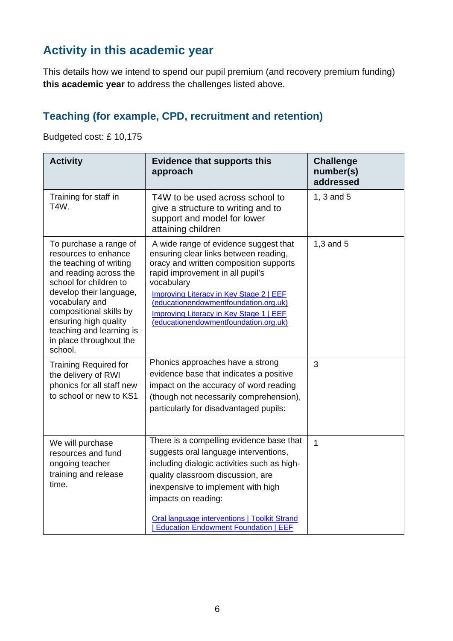### **Activity in this academic year**

This details how we intend to spend our pupil premium (and recovery premium funding) **this academic year** to address the challenges listed above.

#### **Teaching (for example, CPD, recruitment and retention)**

Budgeted cost: £ 10,175

| <b>Activity</b>                                                                                                                                                                                                                                                                                  | <b>Evidence that supports this</b><br>approach                                                                                                                                                                                                                                                                                                     | <b>Challenge</b><br>number(s)<br>addressed |
|--------------------------------------------------------------------------------------------------------------------------------------------------------------------------------------------------------------------------------------------------------------------------------------------------|----------------------------------------------------------------------------------------------------------------------------------------------------------------------------------------------------------------------------------------------------------------------------------------------------------------------------------------------------|--------------------------------------------|
| Training for staff in<br>T4W.                                                                                                                                                                                                                                                                    | T4W to be used across school to<br>give a structure to writing and to<br>support and model for lower<br>attaining children                                                                                                                                                                                                                         | 1, 3 and 5                                 |
| To purchase a range of<br>resources to enhance<br>the teaching of writing<br>and reading across the<br>school for children to<br>develop their language,<br>vocabulary and<br>compositional skills by<br>ensuring high quality<br>teaching and learning is<br>in place throughout the<br>school. | A wide range of evidence suggest that<br>ensuring clear links between reading,<br>oracy and written composition supports<br>rapid improvement in all pupil's<br>vocabulary<br>Improving Literacy in Key Stage 2   EEF<br>(educationendowmentfoundation.org.uk)<br>Improving Literacy in Key Stage 1   EEF<br>(educationendowmentfoundation.org.uk) | $1,3$ and $5$                              |
| <b>Training Required for</b><br>the delivery of RWI<br>phonics for all staff new<br>to school or new to KS1                                                                                                                                                                                      | Phonics approaches have a strong<br>evidence base that indicates a positive<br>impact on the accuracy of word reading<br>(though not necessarily comprehension),<br>particularly for disadvantaged pupils:                                                                                                                                         | 3                                          |
| We will purchase<br>resources and fund<br>ongoing teacher<br>training and release<br>time.                                                                                                                                                                                                       | There is a compelling evidence base that<br>suggests oral language interventions,<br>including dialogic activities such as high-<br>quality classroom discussion, are<br>inexpensive to implement with high<br>impacts on reading:<br>Oral language interventions   Toolkit Strand<br><b>Education Endowment Foundation   EEF</b>                  | $\overline{1}$                             |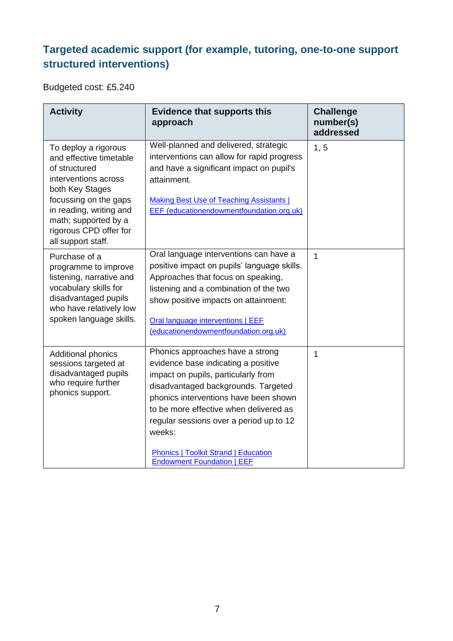#### **Targeted academic support (for example, tutoring, one-to-one support structured interventions)**

Budgeted cost: £5.240

| <b>Activity</b>                                                                                                                                                                                                                         | <b>Evidence that supports this</b><br>approach                                                                                                                                                                                                                                                                                                                                    | <b>Challenge</b><br>number(s)<br>addressed |
|-----------------------------------------------------------------------------------------------------------------------------------------------------------------------------------------------------------------------------------------|-----------------------------------------------------------------------------------------------------------------------------------------------------------------------------------------------------------------------------------------------------------------------------------------------------------------------------------------------------------------------------------|--------------------------------------------|
| To deploy a rigorous<br>and effective timetable<br>of structured<br>interventions across<br>both Key Stages<br>focussing on the gaps<br>in reading, writing and<br>math; supported by a<br>rigorous CPD offer for<br>all support staff. | Well-planned and delivered, strategic<br>interventions can allow for rapid progress<br>and have a significant impact on pupil's<br>attainment.<br><b>Making Best Use of Teaching Assistants  </b><br>EEF (educationendowmentfoundation.org.uk)                                                                                                                                    | 1, 5                                       |
| Purchase of a<br>programme to improve<br>listening, narrative and<br>vocabulary skills for<br>disadvantaged pupils<br>who have relatively low<br>spoken language skills.                                                                | Oral language interventions can have a<br>positive impact on pupils' language skills.<br>Approaches that focus on speaking,<br>listening and a combination of the two<br>show positive impacts on attainment:<br>Oral language interventions   EEF<br>(educationendowmentfoundation.org.uk)                                                                                       | $\mathbf 1$                                |
| <b>Additional phonics</b><br>sessions targeted at<br>disadvantaged pupils<br>who require further<br>phonics support.                                                                                                                    | Phonics approaches have a strong<br>evidence base indicating a positive<br>impact on pupils, particularly from<br>disadvantaged backgrounds. Targeted<br>phonics interventions have been shown<br>to be more effective when delivered as<br>regular sessions over a period up to 12<br>weeks:<br><b>Phonics   Toolkit Strand   Education</b><br><b>Endowment Foundation   EEF</b> | 1                                          |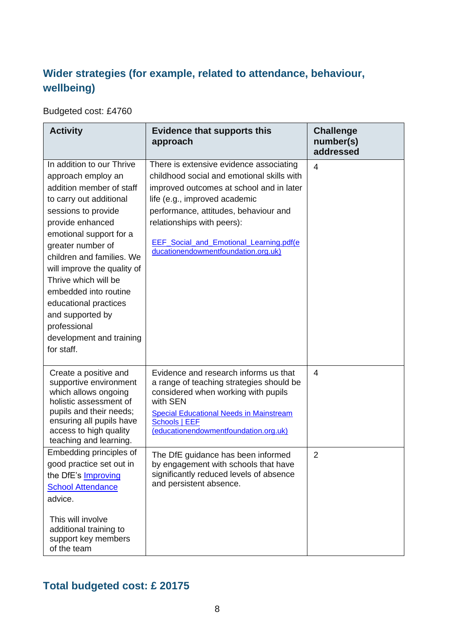#### **Wider strategies (for example, related to attendance, behaviour, wellbeing)**

Budgeted cost: £4760

| <b>Activity</b>                                                                                                                                                                                                                                                                                                                                                                                                       | <b>Evidence that supports this</b><br>approach                                                                                                                                                                                                                                                                                      | <b>Challenge</b><br>number(s)<br>addressed |
|-----------------------------------------------------------------------------------------------------------------------------------------------------------------------------------------------------------------------------------------------------------------------------------------------------------------------------------------------------------------------------------------------------------------------|-------------------------------------------------------------------------------------------------------------------------------------------------------------------------------------------------------------------------------------------------------------------------------------------------------------------------------------|--------------------------------------------|
| In addition to our Thrive<br>approach employ an<br>addition member of staff<br>to carry out additional<br>sessions to provide<br>provide enhanced<br>emotional support for a<br>greater number of<br>children and families. We<br>will improve the quality of<br>Thrive which will be<br>embedded into routine<br>educational practices<br>and supported by<br>professional<br>development and training<br>for staff. | There is extensive evidence associating<br>childhood social and emotional skills with<br>improved outcomes at school and in later<br>life (e.g., improved academic<br>performance, attitudes, behaviour and<br>relationships with peers):<br><b>EEF</b> Social and Emotional Learning.pdf(e)<br>ducationendowmentfoundation.org.uk) | $\overline{4}$                             |
| Create a positive and<br>supportive environment<br>which allows ongoing<br>holistic assessment of<br>pupils and their needs;<br>ensuring all pupils have<br>access to high quality<br>teaching and learning.                                                                                                                                                                                                          | Evidence and research informs us that<br>a range of teaching strategies should be<br>considered when working with pupils<br>with SEN<br><b>Special Educational Needs in Mainstream</b><br>Schools   EEF<br>(educationendowmentfoundation.org.uk)                                                                                    | $\overline{4}$                             |
| Embedding principles of<br>good practice set out in<br>the DfE's <b>Improving</b><br><b>School Attendance</b><br>advice.<br>This will involve<br>additional training to<br>support key members<br>of the team                                                                                                                                                                                                         | The DfE guidance has been informed<br>by engagement with schools that have<br>significantly reduced levels of absence<br>and persistent absence.                                                                                                                                                                                    | $\overline{2}$                             |

#### **Total budgeted cost: £ 20175**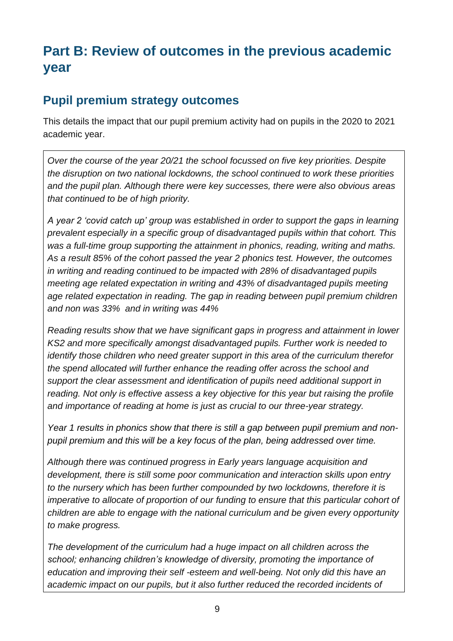## **Part B: Review of outcomes in the previous academic year**

#### **Pupil premium strategy outcomes**

This details the impact that our pupil premium activity had on pupils in the 2020 to 2021 academic year.

*Over the course of the year 20/21 the school focussed on five key priorities. Despite the disruption on two national lockdowns, the school continued to work these priorities and the pupil plan. Although there were key successes, there were also obvious areas that continued to be of high priority.* 

*A year 2 'covid catch up' group was established in order to support the gaps in learning prevalent especially in a specific group of disadvantaged pupils within that cohort. This was a full-time group supporting the attainment in phonics, reading, writing and maths. As a result 85% of the cohort passed the year 2 phonics test. However, the outcomes in writing and reading continued to be impacted with 28% of disadvantaged pupils meeting age related expectation in writing and 43% of disadvantaged pupils meeting age related expectation in reading. The gap in reading between pupil premium children and non was 33% and in writing was 44%*

*Reading results show that we have significant gaps in progress and attainment in lower KS2 and more specifically amongst disadvantaged pupils. Further work is needed to identify those children who need greater support in this area of the curriculum therefor the spend allocated will further enhance the reading offer across the school and support the clear assessment and identification of pupils need additional support in reading. Not only is effective assess a key objective for this year but raising the profile and importance of reading at home is just as crucial to our three-year strategy.* 

*Year 1 results in phonics show that there is still a gap between pupil premium and nonpupil premium and this will be a key focus of the plan, being addressed over time.* 

*Although there was continued progress in Early years language acquisition and development, there is still some poor communication and interaction skills upon entry to the nursery which has been further compounded by two lockdowns, therefore it is imperative to allocate of proportion of our funding to ensure that this particular cohort of children are able to engage with the national curriculum and be given every opportunity to make progress.* 

*The development of the curriculum had a huge impact on all children across the school; enhancing children's knowledge of diversity, promoting the importance of education and improving their self -esteem and well-being. Not only did this have an academic impact on our pupils, but it also further reduced the recorded incidents of*